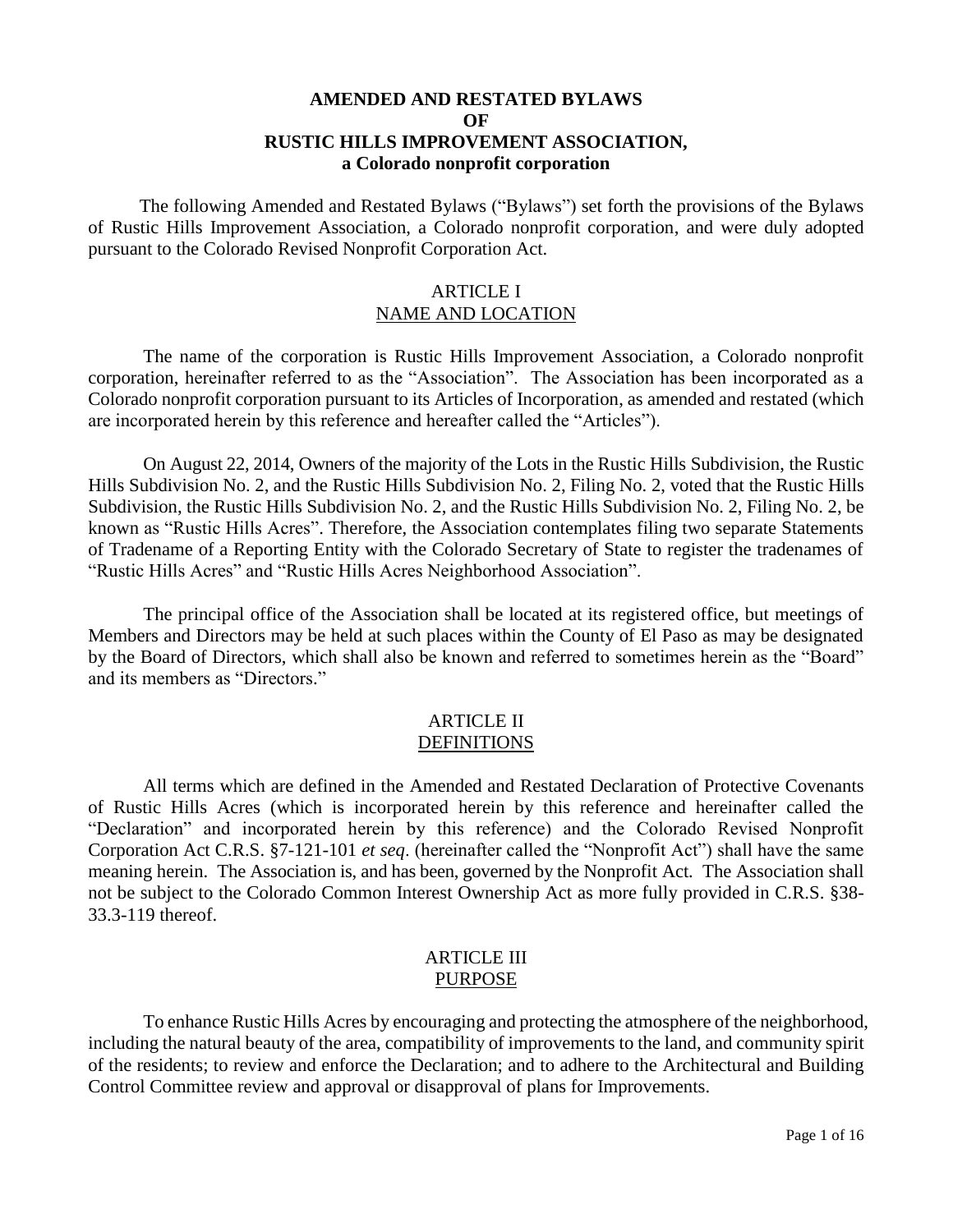#### **AMENDED AND RESTATED BYLAWS OF RUSTIC HILLS IMPROVEMENT ASSOCIATION, a Colorado nonprofit corporation**

 The following Amended and Restated Bylaws ("Bylaws") set forth the provisions of the Bylaws of Rustic Hills Improvement Association, a Colorado nonprofit corporation, and were duly adopted pursuant to the Colorado Revised Nonprofit Corporation Act.

### ARTICLE I NAME AND LOCATION

The name of the corporation is Rustic Hills Improvement Association, a Colorado nonprofit corporation, hereinafter referred to as the "Association". The Association has been incorporated as a Colorado nonprofit corporation pursuant to its Articles of Incorporation, as amended and restated (which are incorporated herein by this reference and hereafter called the "Articles").

On August 22, 2014, Owners of the majority of the Lots in the Rustic Hills Subdivision, the Rustic Hills Subdivision No. 2, and the Rustic Hills Subdivision No. 2, Filing No. 2, voted that the Rustic Hills Subdivision, the Rustic Hills Subdivision No. 2, and the Rustic Hills Subdivision No. 2, Filing No. 2, be known as "Rustic Hills Acres". Therefore, the Association contemplates filing two separate Statements of Tradename of a Reporting Entity with the Colorado Secretary of State to register the tradenames of "Rustic Hills Acres" and "Rustic Hills Acres Neighborhood Association".

The principal office of the Association shall be located at its registered office, but meetings of Members and Directors may be held at such places within the County of El Paso as may be designated by the Board of Directors, which shall also be known and referred to sometimes herein as the "Board" and its members as "Directors."

#### ARTICLE II **DEFINITIONS**

All terms which are defined in the Amended and Restated Declaration of Protective Covenants of Rustic Hills Acres (which is incorporated herein by this reference and hereinafter called the "Declaration" and incorporated herein by this reference) and the Colorado Revised Nonprofit Corporation Act C.R.S. §7-121-101 *et seq*. (hereinafter called the "Nonprofit Act") shall have the same meaning herein. The Association is, and has been, governed by the Nonprofit Act*.* The Association shall not be subject to the Colorado Common Interest Ownership Act as more fully provided in C.R.S. §38- 33.3-119 thereof.

#### ARTICLE III PURPOSE

To enhance Rustic Hills Acres by encouraging and protecting the atmosphere of the neighborhood, including the natural beauty of the area, compatibility of improvements to the land, and community spirit of the residents; to review and enforce the Declaration; and to adhere to the Architectural and Building Control Committee review and approval or disapproval of plans for Improvements.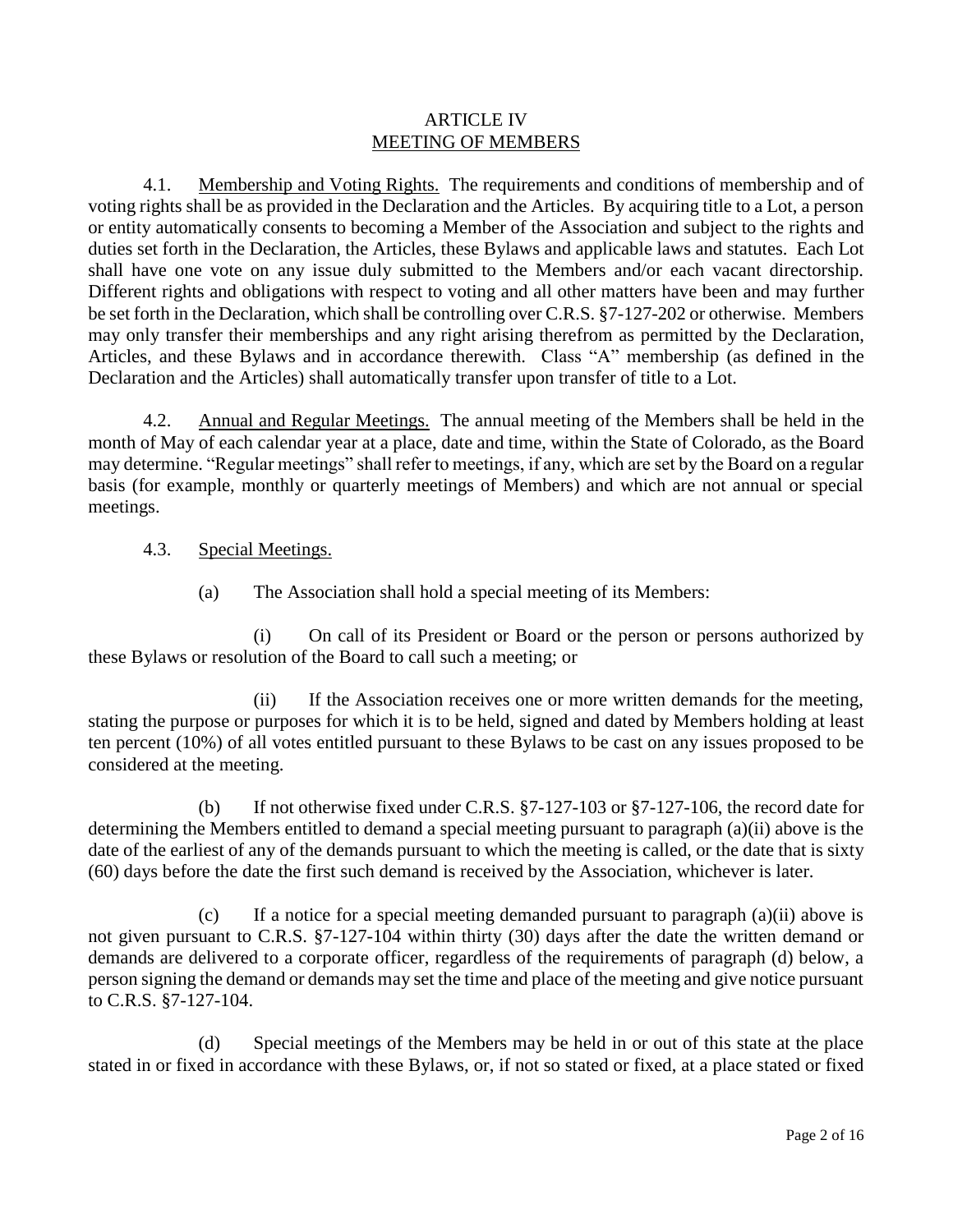#### ARTICLE IV MEETING OF MEMBERS

4.1. Membership and Voting Rights. The requirements and conditions of membership and of voting rights shall be as provided in the Declaration and the Articles. By acquiring title to a Lot, a person or entity automatically consents to becoming a Member of the Association and subject to the rights and duties set forth in the Declaration, the Articles, these Bylaws and applicable laws and statutes. Each Lot shall have one vote on any issue duly submitted to the Members and/or each vacant directorship. Different rights and obligations with respect to voting and all other matters have been and may further be set forth in the Declaration, which shall be controlling over C.R.S. §7-127-202 or otherwise. Members may only transfer their memberships and any right arising therefrom as permitted by the Declaration, Articles, and these Bylaws and in accordance therewith. Class "A" membership (as defined in the Declaration and the Articles) shall automatically transfer upon transfer of title to a Lot.

4.2. Annual and Regular Meetings. The annual meeting of the Members shall be held in the month of May of each calendar year at a place, date and time, within the State of Colorado, as the Board may determine. "Regular meetings" shall refer to meetings, if any, which are set by the Board on a regular basis (for example, monthly or quarterly meetings of Members) and which are not annual or special meetings.

- 4.3. Special Meetings.
	- (a) The Association shall hold a special meeting of its Members:

(i) On call of its President or Board or the person or persons authorized by these Bylaws or resolution of the Board to call such a meeting; or

(ii) If the Association receives one or more written demands for the meeting, stating the purpose or purposes for which it is to be held, signed and dated by Members holding at least ten percent (10%) of all votes entitled pursuant to these Bylaws to be cast on any issues proposed to be considered at the meeting.

(b) If not otherwise fixed under C.R.S. §7-127-103 or §7-127-106, the record date for determining the Members entitled to demand a special meeting pursuant to paragraph (a)(ii) above is the date of the earliest of any of the demands pursuant to which the meeting is called, or the date that is sixty (60) days before the date the first such demand is received by the Association, whichever is later.

(c) If a notice for a special meeting demanded pursuant to paragraph (a)(ii) above is not given pursuant to C.R.S. §7-127-104 within thirty (30) days after the date the written demand or demands are delivered to a corporate officer, regardless of the requirements of paragraph (d) below, a person signing the demand or demands may set the time and place of the meeting and give notice pursuant to C.R.S. §7-127-104.

(d) Special meetings of the Members may be held in or out of this state at the place stated in or fixed in accordance with these Bylaws, or, if not so stated or fixed, at a place stated or fixed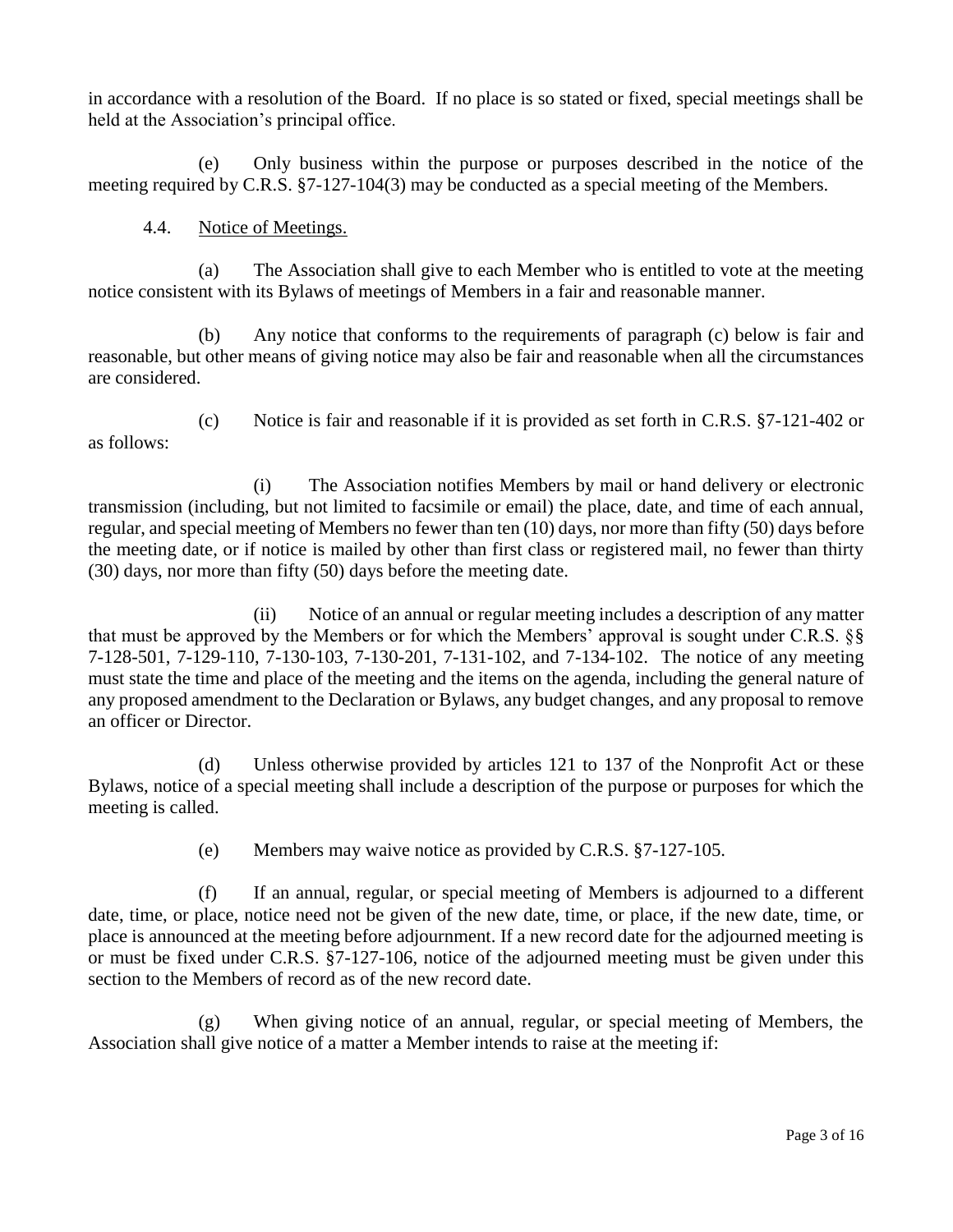in accordance with a resolution of the Board. If no place is so stated or fixed, special meetings shall be held at the Association's principal office.

(e) Only business within the purpose or purposes described in the notice of the meeting required by C.R.S. §7-127-104(3) may be conducted as a special meeting of the Members.

## 4.4. Notice of Meetings.

(a) The Association shall give to each Member who is entitled to vote at the meeting notice consistent with its Bylaws of meetings of Members in a fair and reasonable manner.

(b) Any notice that conforms to the requirements of paragraph (c) below is fair and reasonable, but other means of giving notice may also be fair and reasonable when all the circumstances are considered.

as follows:

(c) Notice is fair and reasonable if it is provided as set forth in C.R.S. §7-121-402 or

(i) The Association notifies Members by mail or hand delivery or electronic transmission (including, but not limited to facsimile or email) the place, date, and time of each annual, regular, and special meeting of Members no fewer than ten (10) days, nor more than fifty (50) days before the meeting date, or if notice is mailed by other than first class or registered mail, no fewer than thirty (30) days, nor more than fifty (50) days before the meeting date.

(ii) Notice of an annual or regular meeting includes a description of any matter that must be approved by the Members or for which the Members' approval is sought under C.R.S. §§ 7-128-501, 7-129-110, 7-130-103, 7-130-201, 7-131-102, and 7-134-102. The notice of any meeting must state the time and place of the meeting and the items on the agenda, including the general nature of any proposed amendment to the Declaration or Bylaws, any budget changes, and any proposal to remove an officer or Director.

(d) Unless otherwise provided by articles 121 to 137 of the Nonprofit Act or these Bylaws, notice of a special meeting shall include a description of the purpose or purposes for which the meeting is called.

(e) Members may waive notice as provided by C.R.S. §7-127-105.

(f) If an annual, regular, or special meeting of Members is adjourned to a different date, time, or place, notice need not be given of the new date, time, or place, if the new date, time, or place is announced at the meeting before adjournment. If a new record date for the adjourned meeting is or must be fixed under C.R.S. §7-127-106, notice of the adjourned meeting must be given under this section to the Members of record as of the new record date.

(g) When giving notice of an annual, regular, or special meeting of Members, the Association shall give notice of a matter a Member intends to raise at the meeting if: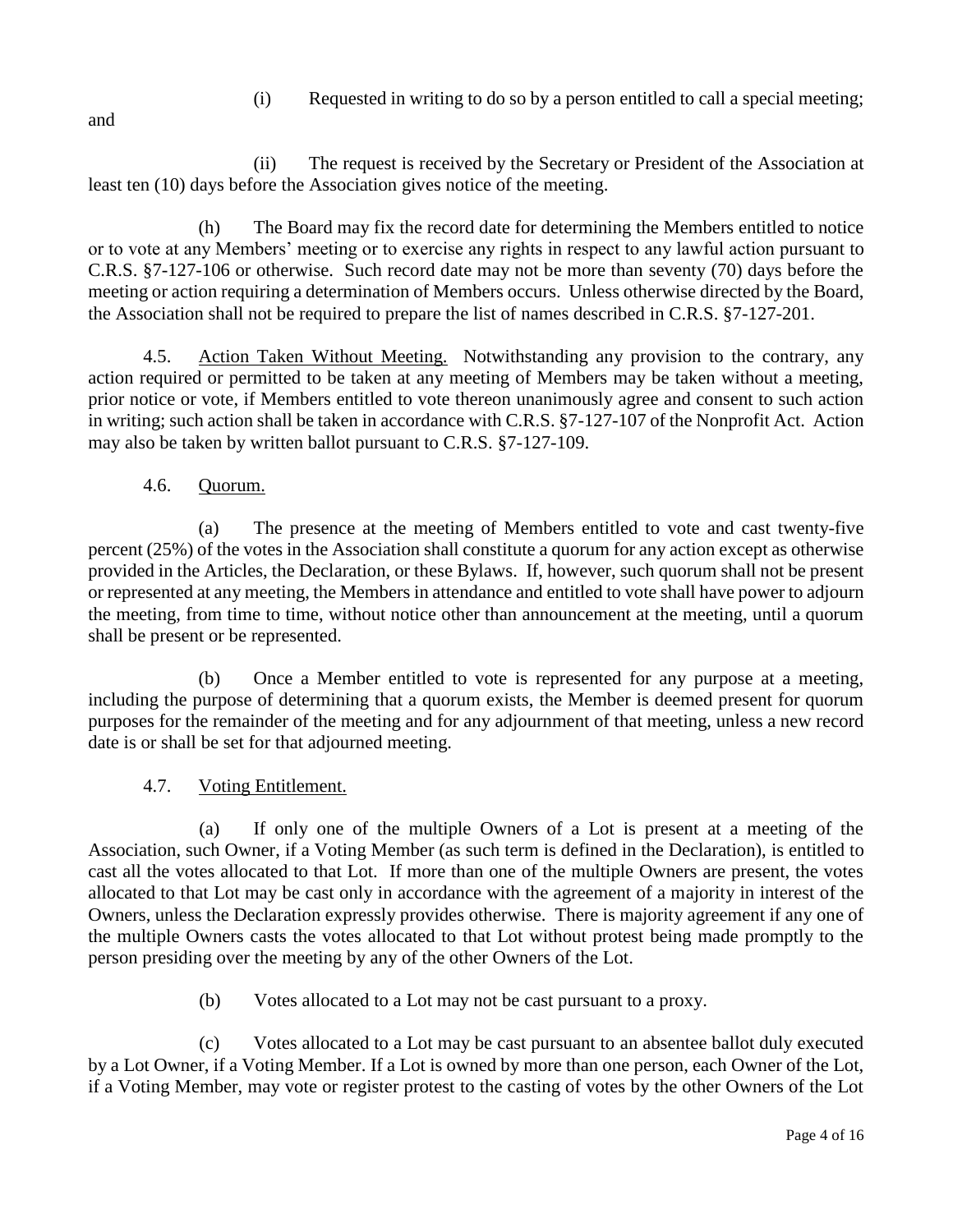(i) Requested in writing to do so by a person entitled to call a special meeting;

and

(ii) The request is received by the Secretary or President of the Association at least ten (10) days before the Association gives notice of the meeting.

(h) The Board may fix the record date for determining the Members entitled to notice or to vote at any Members' meeting or to exercise any rights in respect to any lawful action pursuant to C.R.S. §7-127-106 or otherwise. Such record date may not be more than seventy (70) days before the meeting or action requiring a determination of Members occurs. Unless otherwise directed by the Board, the Association shall not be required to prepare the list of names described in C.R.S. §7-127-201.

4.5. Action Taken Without Meeting. Notwithstanding any provision to the contrary, any action required or permitted to be taken at any meeting of Members may be taken without a meeting, prior notice or vote, if Members entitled to vote thereon unanimously agree and consent to such action in writing; such action shall be taken in accordance with C.R.S. §7-127-107 of the Nonprofit Act. Action may also be taken by written ballot pursuant to C.R.S. §7-127-109.

# 4.6. Quorum.

(a) The presence at the meeting of Members entitled to vote and cast twenty-five percent (25%) of the votes in the Association shall constitute a quorum for any action except as otherwise provided in the Articles, the Declaration, or these Bylaws. If, however, such quorum shall not be present or represented at any meeting, the Members in attendance and entitled to vote shall have power to adjourn the meeting, from time to time, without notice other than announcement at the meeting, until a quorum shall be present or be represented.

(b) Once a Member entitled to vote is represented for any purpose at a meeting, including the purpose of determining that a quorum exists, the Member is deemed present for quorum purposes for the remainder of the meeting and for any adjournment of that meeting, unless a new record date is or shall be set for that adjourned meeting.

## 4.7. Voting Entitlement.

(a) If only one of the multiple Owners of a Lot is present at a meeting of the Association, such Owner, if a Voting Member (as such term is defined in the Declaration), is entitled to cast all the votes allocated to that Lot. If more than one of the multiple Owners are present, the votes allocated to that Lot may be cast only in accordance with the agreement of a majority in interest of the Owners, unless the Declaration expressly provides otherwise. There is majority agreement if any one of the multiple Owners casts the votes allocated to that Lot without protest being made promptly to the person presiding over the meeting by any of the other Owners of the Lot.

(b) Votes allocated to a Lot may not be cast pursuant to a proxy.

(c) Votes allocated to a Lot may be cast pursuant to an absentee ballot duly executed by a Lot Owner, if a Voting Member. If a Lot is owned by more than one person, each Owner of the Lot, if a Voting Member, may vote or register protest to the casting of votes by the other Owners of the Lot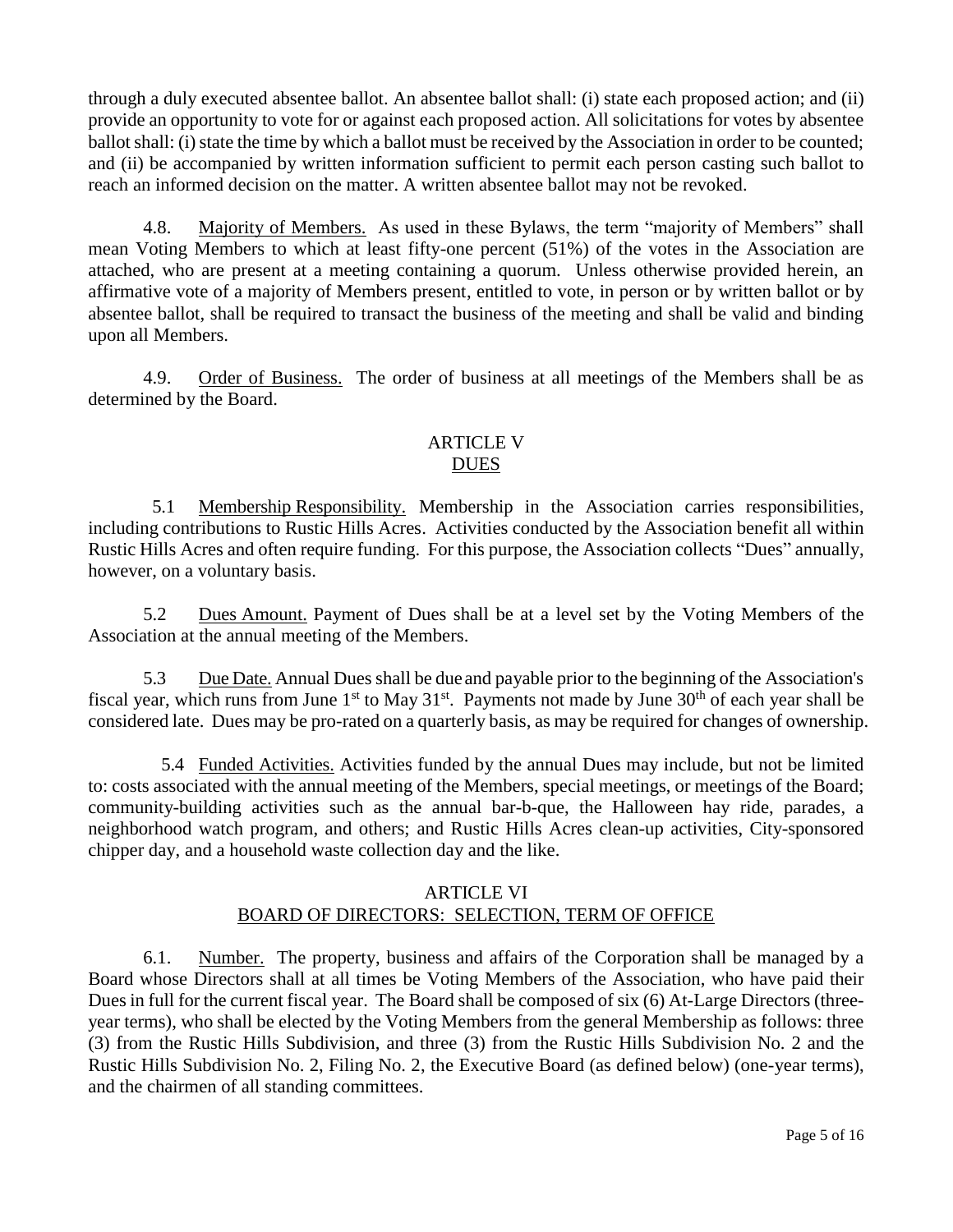through a duly executed absentee ballot. An absentee ballot shall: (i) state each proposed action; and (ii) provide an opportunity to vote for or against each proposed action. All solicitations for votes by absentee ballot shall: (i) state the time by which a ballot must be received by the Association in order to be counted; and (ii) be accompanied by written information sufficient to permit each person casting such ballot to reach an informed decision on the matter. A written absentee ballot may not be revoked.

4.8. Majority of Members. As used in these Bylaws, the term "majority of Members" shall mean Voting Members to which at least fifty-one percent (51%) of the votes in the Association are attached, who are present at a meeting containing a quorum. Unless otherwise provided herein, an affirmative vote of a majority of Members present, entitled to vote, in person or by written ballot or by absentee ballot, shall be required to transact the business of the meeting and shall be valid and binding upon all Members.

4.9. Order of Business. The order of business at all meetings of the Members shall be as determined by the Board.

## ARTICLE V DUES

 5.1 Membership Responsibility. Membership in the Association carries responsibilities, including contributions to Rustic Hills Acres. Activities conducted by the Association benefit all within Rustic Hills Acres and often require funding. For this purpose, the Association collects "Dues" annually, however, on a voluntary basis.

5.2 Dues Amount. Payment of Dues shall be at a level set by the Voting Members of the Association at the annual meeting of the Members.

5.3 Due Date. Annual Dues shall be due and payable prior to the beginning of the Association's fiscal year, which runs from June  $1<sup>st</sup>$  to May  $31<sup>st</sup>$ . Payments not made by June  $30<sup>th</sup>$  of each year shall be considered late. Dues may be pro-rated on a quarterly basis, as may be required for changes of ownership.

5.4 Funded Activities. Activities funded by the annual Dues may include, but not be limited to: costs associated with the annual meeting of the Members, special meetings, or meetings of the Board; community-building activities such as the annual bar-b-que, the Halloween hay ride, parades, a neighborhood watch program, and others; and Rustic Hills Acres clean-up activities, City-sponsored chipper day, and a household waste collection day and the like.

#### ARTICLE VI BOARD OF DIRECTORS: SELECTION, TERM OF OFFICE

6.1. Number. The property, business and affairs of the Corporation shall be managed by a Board whose Directors shall at all times be Voting Members of the Association, who have paid their Dues in full for the current fiscal year. The Board shall be composed of six (6) At-Large Directors (threeyear terms), who shall be elected by the Voting Members from the general Membership as follows: three (3) from the Rustic Hills Subdivision, and three (3) from the Rustic Hills Subdivision No. 2 and the Rustic Hills Subdivision No. 2, Filing No. 2, the Executive Board (as defined below) (one-year terms), and the chairmen of all standing committees.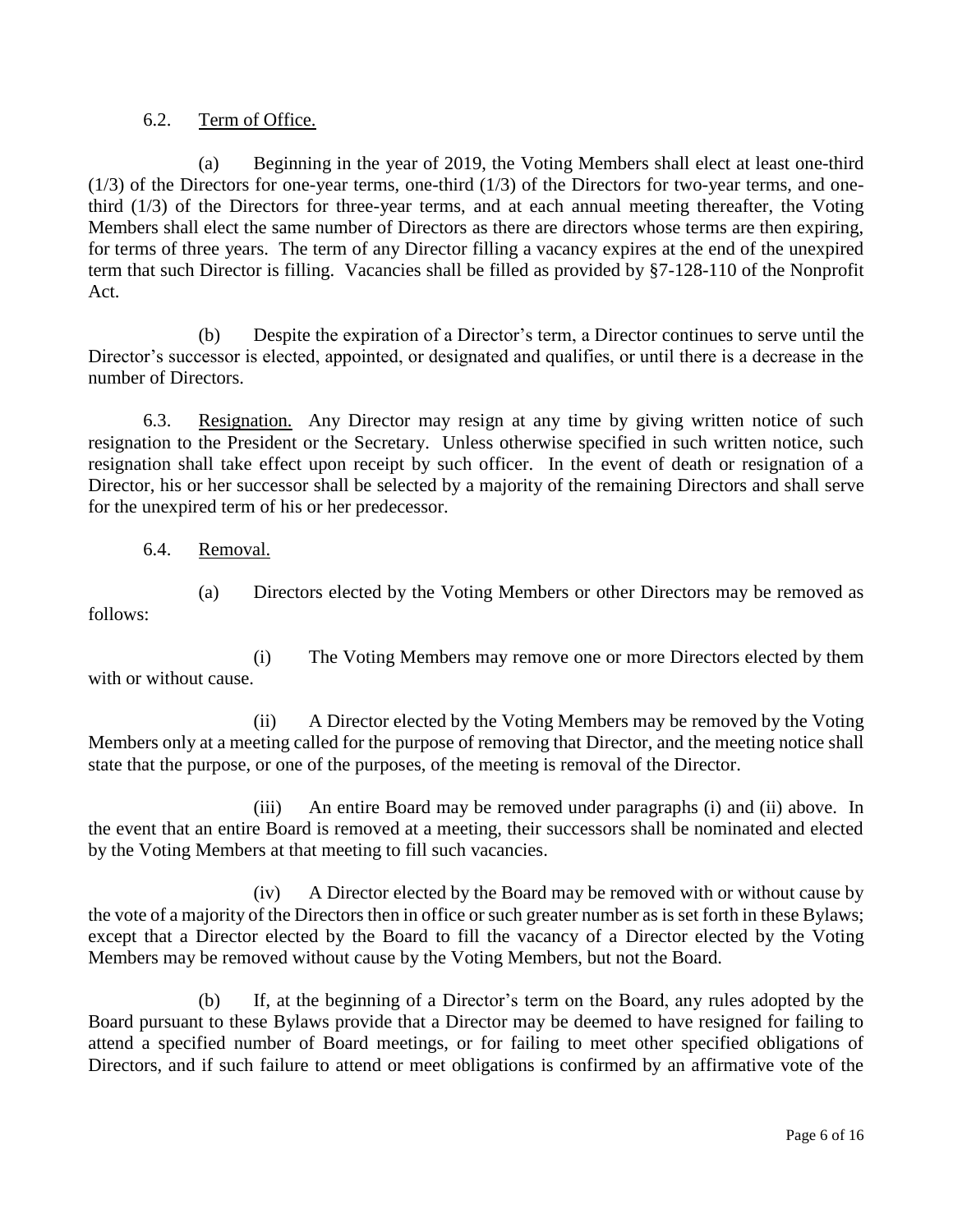#### 6.2. Term of Office.

(a) Beginning in the year of 2019, the Voting Members shall elect at least one-third  $(1/3)$  of the Directors for one-year terms, one-third  $(1/3)$  of the Directors for two-year terms, and onethird (1/3) of the Directors for three-year terms, and at each annual meeting thereafter, the Voting Members shall elect the same number of Directors as there are directors whose terms are then expiring, for terms of three years. The term of any Director filling a vacancy expires at the end of the unexpired term that such Director is filling. Vacancies shall be filled as provided by §7-128-110 of the Nonprofit Act.

(b) Despite the expiration of a Director's term, a Director continues to serve until the Director's successor is elected, appointed, or designated and qualifies, or until there is a decrease in the number of Directors.

6.3. Resignation. Any Director may resign at any time by giving written notice of such resignation to the President or the Secretary. Unless otherwise specified in such written notice, such resignation shall take effect upon receipt by such officer. In the event of death or resignation of a Director, his or her successor shall be selected by a majority of the remaining Directors and shall serve for the unexpired term of his or her predecessor.

6.4. Removal.

with or without cause.

follows:

(i) The Voting Members may remove one or more Directors elected by them

(a) Directors elected by the Voting Members or other Directors may be removed as

(ii) A Director elected by the Voting Members may be removed by the Voting Members only at a meeting called for the purpose of removing that Director, and the meeting notice shall

state that the purpose, or one of the purposes, of the meeting is removal of the Director.

(iii) An entire Board may be removed under paragraphs (i) and (ii) above. In the event that an entire Board is removed at a meeting, their successors shall be nominated and elected by the Voting Members at that meeting to fill such vacancies.

(iv) A Director elected by the Board may be removed with or without cause by the vote of a majority of the Directors then in office or such greater number as is set forth in these Bylaws; except that a Director elected by the Board to fill the vacancy of a Director elected by the Voting Members may be removed without cause by the Voting Members, but not the Board.

(b) If, at the beginning of a Director's term on the Board, any rules adopted by the Board pursuant to these Bylaws provide that a Director may be deemed to have resigned for failing to attend a specified number of Board meetings, or for failing to meet other specified obligations of Directors, and if such failure to attend or meet obligations is confirmed by an affirmative vote of the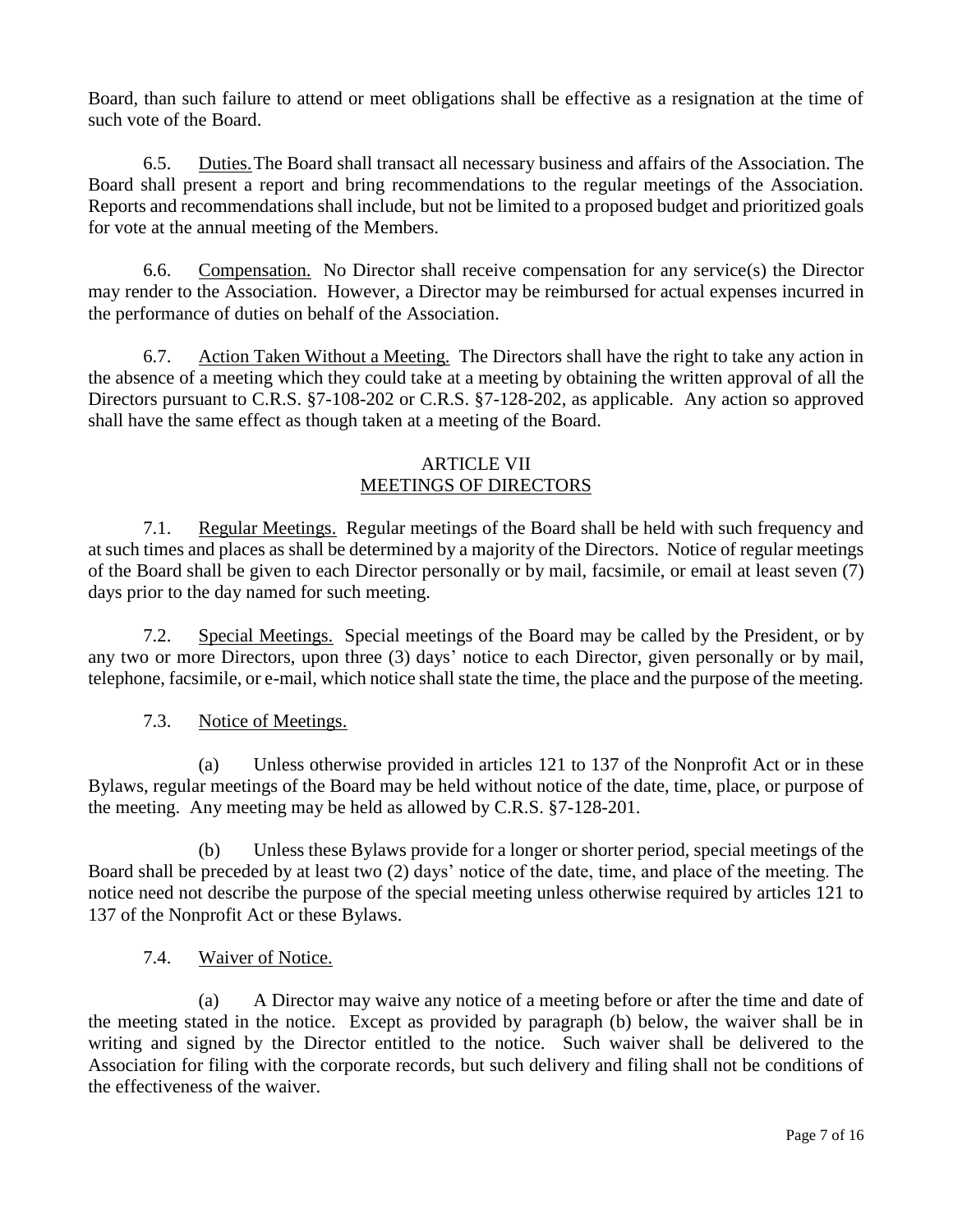Board, than such failure to attend or meet obligations shall be effective as a resignation at the time of such vote of the Board.

6.5. Duties.The Board shall transact all necessary business and affairs of the Association. The Board shall present a report and bring recommendations to the regular meetings of the Association. Reports and recommendations shall include, but not be limited to a proposed budget and prioritized goals for vote at the annual meeting of the Members.

6.6. Compensation. No Director shall receive compensation for any service(s) the Director may render to the Association. However, a Director may be reimbursed for actual expenses incurred in the performance of duties on behalf of the Association.

6.7. Action Taken Without a Meeting. The Directors shall have the right to take any action in the absence of a meeting which they could take at a meeting by obtaining the written approval of all the Directors pursuant to C.R.S. §7-108-202 or C.R.S. §7-128-202, as applicable. Any action so approved shall have the same effect as though taken at a meeting of the Board.

### ARTICLE VII MEETINGS OF DIRECTORS

7.1. Regular Meetings. Regular meetings of the Board shall be held with such frequency and at such times and places as shall be determined by a majority of the Directors. Notice of regular meetings of the Board shall be given to each Director personally or by mail, facsimile, or email at least seven (7) days prior to the day named for such meeting.

7.2. Special Meetings. Special meetings of the Board may be called by the President, or by any two or more Directors, upon three (3) days' notice to each Director, given personally or by mail, telephone, facsimile, or e-mail, which notice shall state the time, the place and the purpose of the meeting.

## 7.3. Notice of Meetings.

(a) Unless otherwise provided in articles 121 to 137 of the Nonprofit Act or in these Bylaws, regular meetings of the Board may be held without notice of the date, time, place, or purpose of the meeting. Any meeting may be held as allowed by C.R.S. §7-128-201.

(b) Unless these Bylaws provide for a longer or shorter period, special meetings of the Board shall be preceded by at least two (2) days' notice of the date, time, and place of the meeting. The notice need not describe the purpose of the special meeting unless otherwise required by articles 121 to 137 of the Nonprofit Act or these Bylaws.

7.4. Waiver of Notice.

(a) A Director may waive any notice of a meeting before or after the time and date of the meeting stated in the notice. Except as provided by paragraph (b) below, the waiver shall be in writing and signed by the Director entitled to the notice. Such waiver shall be delivered to the Association for filing with the corporate records, but such delivery and filing shall not be conditions of the effectiveness of the waiver.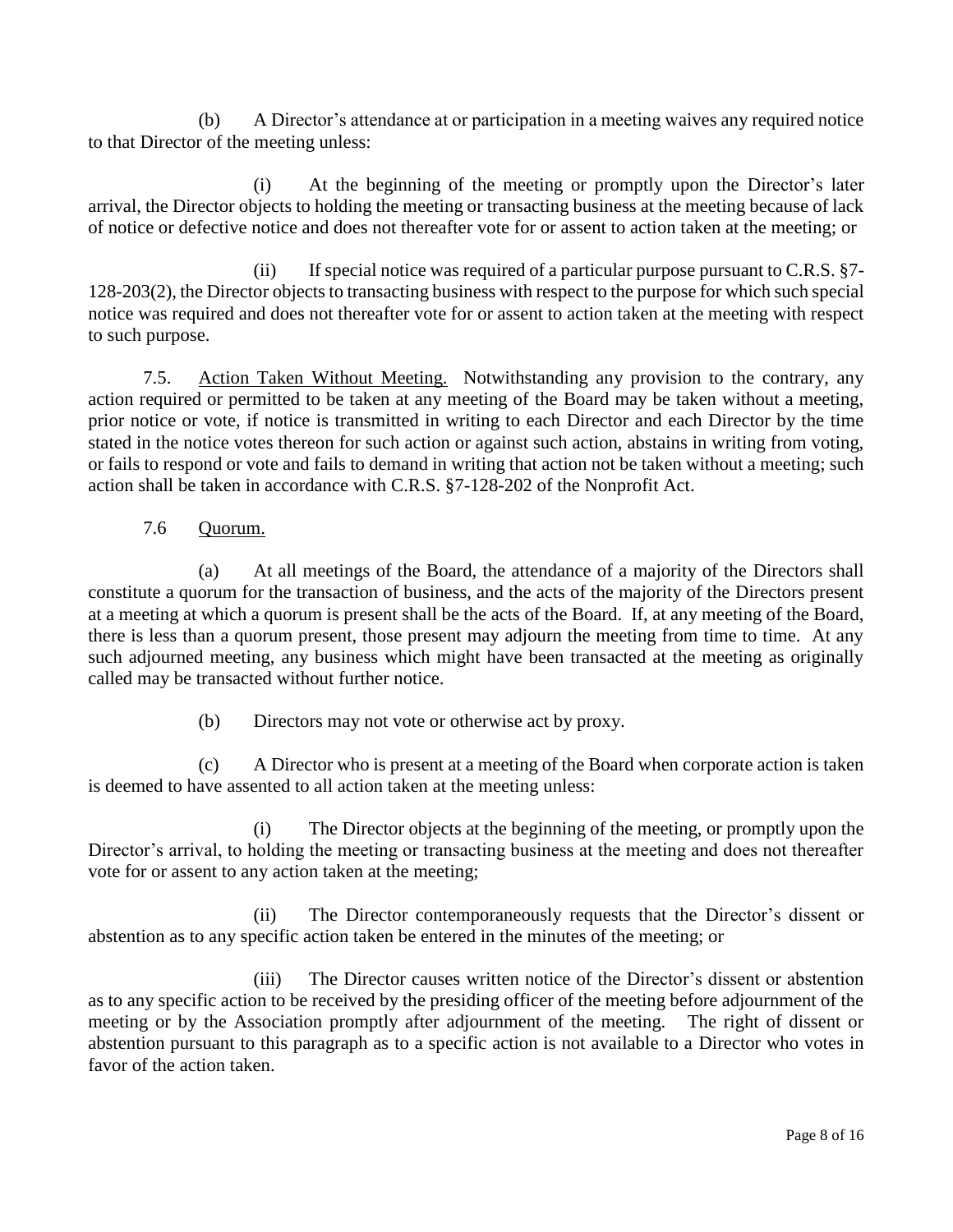(b) A Director's attendance at or participation in a meeting waives any required notice to that Director of the meeting unless:

(i) At the beginning of the meeting or promptly upon the Director's later arrival, the Director objects to holding the meeting or transacting business at the meeting because of lack of notice or defective notice and does not thereafter vote for or assent to action taken at the meeting; or

(ii) If special notice was required of a particular purpose pursuant to  $C.R.S. §7-$ 128-203(2), the Director objects to transacting business with respect to the purpose for which such special notice was required and does not thereafter vote for or assent to action taken at the meeting with respect to such purpose.

7.5. Action Taken Without Meeting. Notwithstanding any provision to the contrary, any action required or permitted to be taken at any meeting of the Board may be taken without a meeting, prior notice or vote, if notice is transmitted in writing to each Director and each Director by the time stated in the notice votes thereon for such action or against such action, abstains in writing from voting, or fails to respond or vote and fails to demand in writing that action not be taken without a meeting; such action shall be taken in accordance with C.R.S. §7-128-202 of the Nonprofit Act.

## 7.6 Quorum.

(a) At all meetings of the Board, the attendance of a majority of the Directors shall constitute a quorum for the transaction of business, and the acts of the majority of the Directors present at a meeting at which a quorum is present shall be the acts of the Board. If, at any meeting of the Board, there is less than a quorum present, those present may adjourn the meeting from time to time. At any such adjourned meeting, any business which might have been transacted at the meeting as originally called may be transacted without further notice.

(b) Directors may not vote or otherwise act by proxy.

(c) A Director who is present at a meeting of the Board when corporate action is taken is deemed to have assented to all action taken at the meeting unless:

(i) The Director objects at the beginning of the meeting, or promptly upon the Director's arrival, to holding the meeting or transacting business at the meeting and does not thereafter vote for or assent to any action taken at the meeting;

(ii) The Director contemporaneously requests that the Director's dissent or abstention as to any specific action taken be entered in the minutes of the meeting; or

(iii) The Director causes written notice of the Director's dissent or abstention as to any specific action to be received by the presiding officer of the meeting before adjournment of the meeting or by the Association promptly after adjournment of the meeting. The right of dissent or abstention pursuant to this paragraph as to a specific action is not available to a Director who votes in favor of the action taken.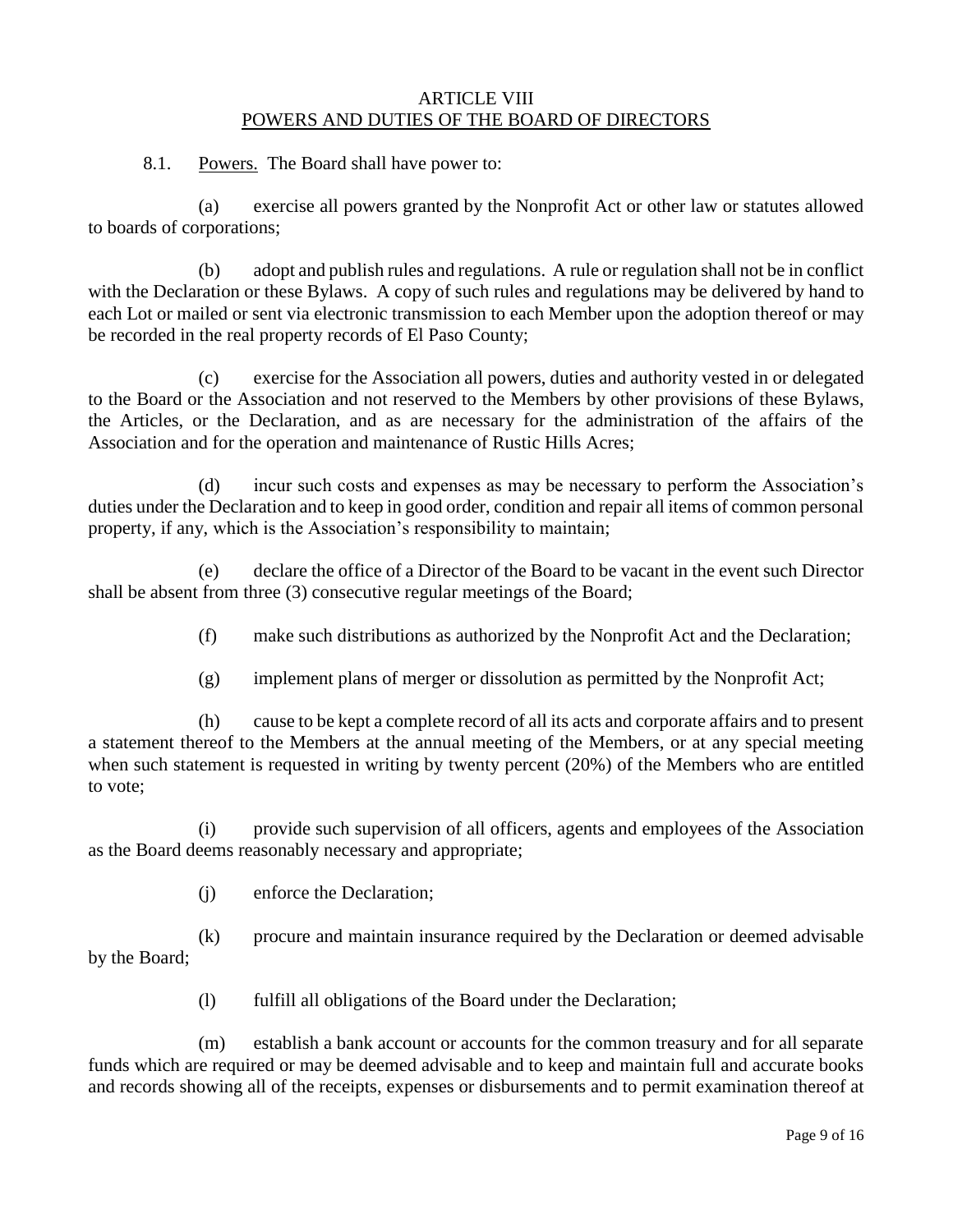#### ARTICLE VIII POWERS AND DUTIES OF THE BOARD OF DIRECTORS

8.1. Powers. The Board shall have power to:

(a) exercise all powers granted by the Nonprofit Act or other law or statutes allowed to boards of corporations;

(b) adopt and publish rules and regulations. A rule or regulation shall not be in conflict with the Declaration or these Bylaws. A copy of such rules and regulations may be delivered by hand to each Lot or mailed or sent via electronic transmission to each Member upon the adoption thereof or may be recorded in the real property records of El Paso County;

(c) exercise for the Association all powers, duties and authority vested in or delegated to the Board or the Association and not reserved to the Members by other provisions of these Bylaws, the Articles, or the Declaration, and as are necessary for the administration of the affairs of the Association and for the operation and maintenance of Rustic Hills Acres;

(d) incur such costs and expenses as may be necessary to perform the Association's duties under the Declaration and to keep in good order, condition and repair all items of common personal property, if any, which is the Association's responsibility to maintain;

(e) declare the office of a Director of the Board to be vacant in the event such Director shall be absent from three (3) consecutive regular meetings of the Board;

(f) make such distributions as authorized by the Nonprofit Act and the Declaration;

(g) implement plans of merger or dissolution as permitted by the Nonprofit Act;

(h) cause to be kept a complete record of all its acts and corporate affairs and to present a statement thereof to the Members at the annual meeting of the Members, or at any special meeting when such statement is requested in writing by twenty percent (20%) of the Members who are entitled to vote;

(i) provide such supervision of all officers, agents and employees of the Association as the Board deems reasonably necessary and appropriate;

(j) enforce the Declaration;

(k) procure and maintain insurance required by the Declaration or deemed advisable by the Board;

(l) fulfill all obligations of the Board under the Declaration;

(m) establish a bank account or accounts for the common treasury and for all separate funds which are required or may be deemed advisable and to keep and maintain full and accurate books and records showing all of the receipts, expenses or disbursements and to permit examination thereof at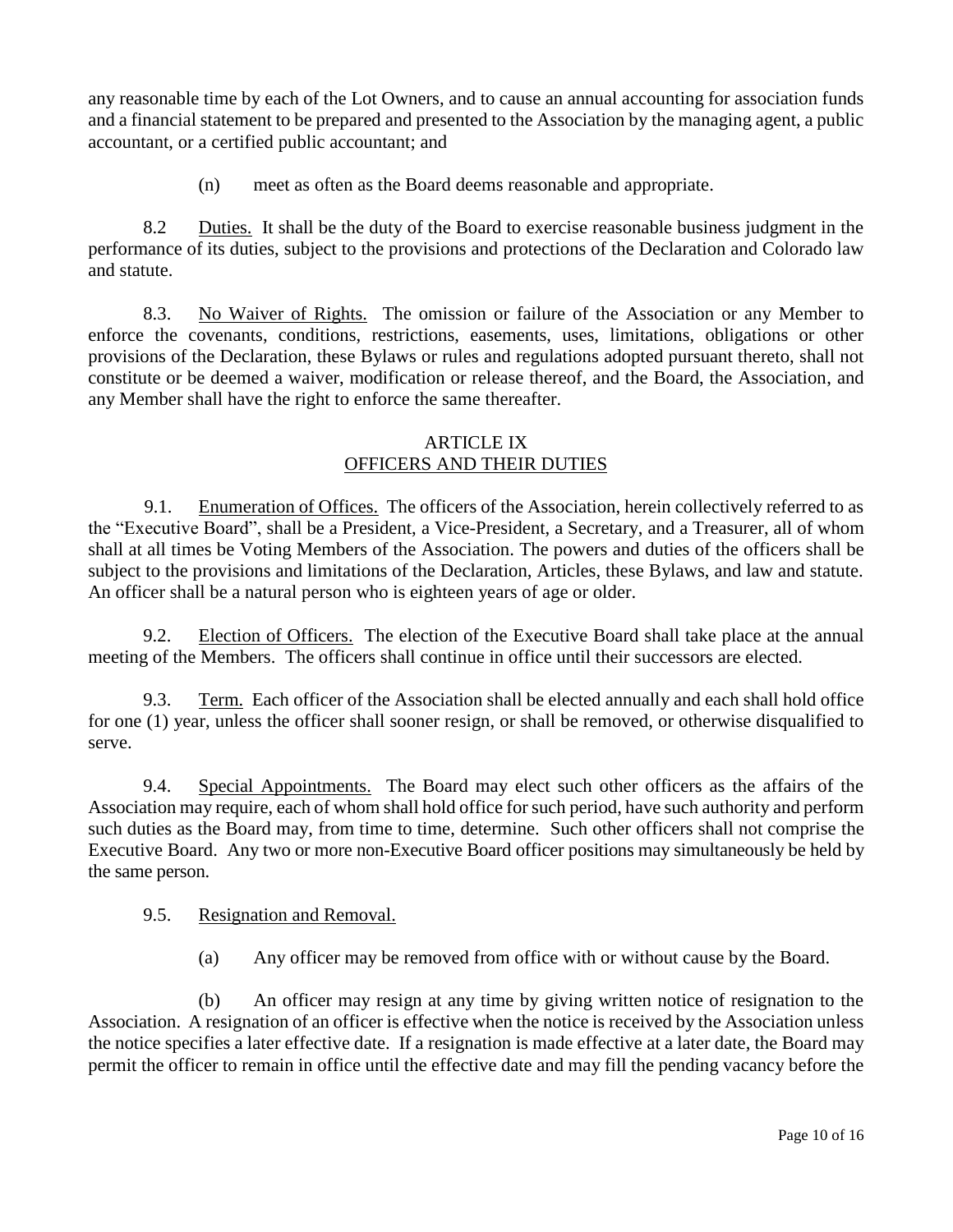any reasonable time by each of the Lot Owners, and to cause an annual accounting for association funds and a financial statement to be prepared and presented to the Association by the managing agent, a public accountant, or a certified public accountant; and

(n) meet as often as the Board deems reasonable and appropriate.

8.2 Duties. It shall be the duty of the Board to exercise reasonable business judgment in the performance of its duties, subject to the provisions and protections of the Declaration and Colorado law and statute.

8.3. No Waiver of Rights. The omission or failure of the Association or any Member to enforce the covenants, conditions, restrictions, easements, uses, limitations, obligations or other provisions of the Declaration, these Bylaws or rules and regulations adopted pursuant thereto, shall not constitute or be deemed a waiver, modification or release thereof, and the Board, the Association, and any Member shall have the right to enforce the same thereafter.

#### ARTICLE IX OFFICERS AND THEIR DUTIES

9.1. Enumeration of Offices. The officers of the Association, herein collectively referred to as the "Executive Board", shall be a President, a Vice-President, a Secretary, and a Treasurer, all of whom shall at all times be Voting Members of the Association. The powers and duties of the officers shall be subject to the provisions and limitations of the Declaration, Articles, these Bylaws, and law and statute. An officer shall be a natural person who is eighteen years of age or older.

9.2. Election of Officers. The election of the Executive Board shall take place at the annual meeting of the Members. The officers shall continue in office until their successors are elected.

9.3. Term. Each officer of the Association shall be elected annually and each shall hold office for one (1) year, unless the officer shall sooner resign, or shall be removed, or otherwise disqualified to serve.

9.4. Special Appointments. The Board may elect such other officers as the affairs of the Association may require, each of whom shall hold office for such period, have such authority and perform such duties as the Board may, from time to time, determine. Such other officers shall not comprise the Executive Board. Any two or more non-Executive Board officer positions may simultaneously be held by the same person.

#### 9.5. Resignation and Removal.

(a) Any officer may be removed from office with or without cause by the Board.

(b) An officer may resign at any time by giving written notice of resignation to the Association. A resignation of an officer is effective when the notice is received by the Association unless the notice specifies a later effective date. If a resignation is made effective at a later date, the Board may permit the officer to remain in office until the effective date and may fill the pending vacancy before the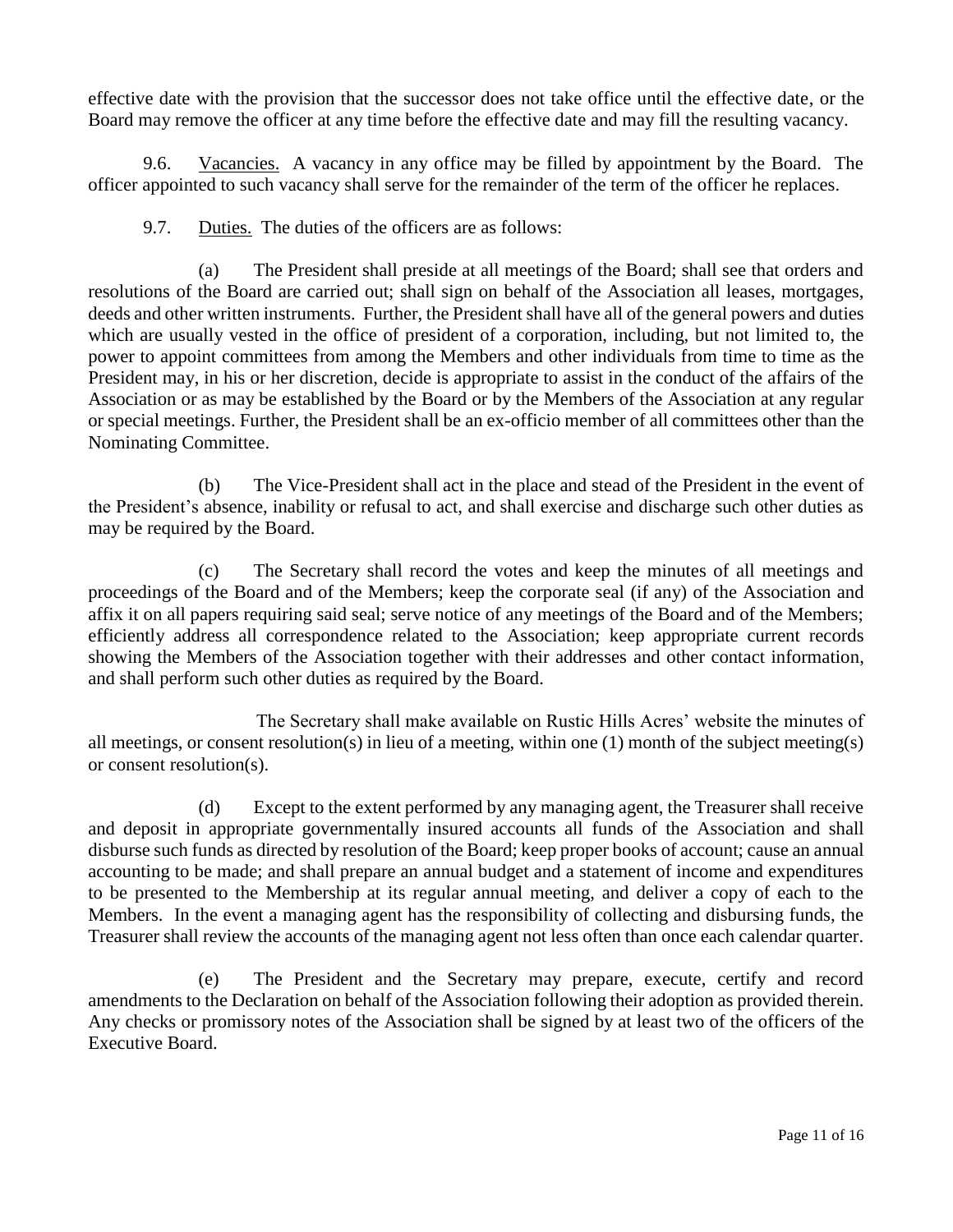effective date with the provision that the successor does not take office until the effective date, or the Board may remove the officer at any time before the effective date and may fill the resulting vacancy.

9.6. Vacancies. A vacancy in any office may be filled by appointment by the Board. The officer appointed to such vacancy shall serve for the remainder of the term of the officer he replaces.

9.7. Duties. The duties of the officers are as follows:

(a) The President shall preside at all meetings of the Board; shall see that orders and resolutions of the Board are carried out; shall sign on behalf of the Association all leases, mortgages, deeds and other written instruments. Further, the President shall have all of the general powers and duties which are usually vested in the office of president of a corporation, including, but not limited to, the power to appoint committees from among the Members and other individuals from time to time as the President may, in his or her discretion, decide is appropriate to assist in the conduct of the affairs of the Association or as may be established by the Board or by the Members of the Association at any regular or special meetings. Further, the President shall be an ex-officio member of all committees other than the Nominating Committee.

(b) The Vice-President shall act in the place and stead of the President in the event of the President's absence, inability or refusal to act, and shall exercise and discharge such other duties as may be required by the Board.

(c) The Secretary shall record the votes and keep the minutes of all meetings and proceedings of the Board and of the Members; keep the corporate seal (if any) of the Association and affix it on all papers requiring said seal; serve notice of any meetings of the Board and of the Members; efficiently address all correspondence related to the Association; keep appropriate current records showing the Members of the Association together with their addresses and other contact information, and shall perform such other duties as required by the Board.

The Secretary shall make available on Rustic Hills Acres' website the minutes of all meetings, or consent resolution(s) in lieu of a meeting, within one (1) month of the subject meeting(s) or consent resolution(s).

(d) Except to the extent performed by any managing agent, the Treasurer shall receive and deposit in appropriate governmentally insured accounts all funds of the Association and shall disburse such funds as directed by resolution of the Board; keep proper books of account; cause an annual accounting to be made; and shall prepare an annual budget and a statement of income and expenditures to be presented to the Membership at its regular annual meeting, and deliver a copy of each to the Members. In the event a managing agent has the responsibility of collecting and disbursing funds, the Treasurer shall review the accounts of the managing agent not less often than once each calendar quarter.

(e) The President and the Secretary may prepare, execute, certify and record amendments to the Declaration on behalf of the Association following their adoption as provided therein. Any checks or promissory notes of the Association shall be signed by at least two of the officers of the Executive Board.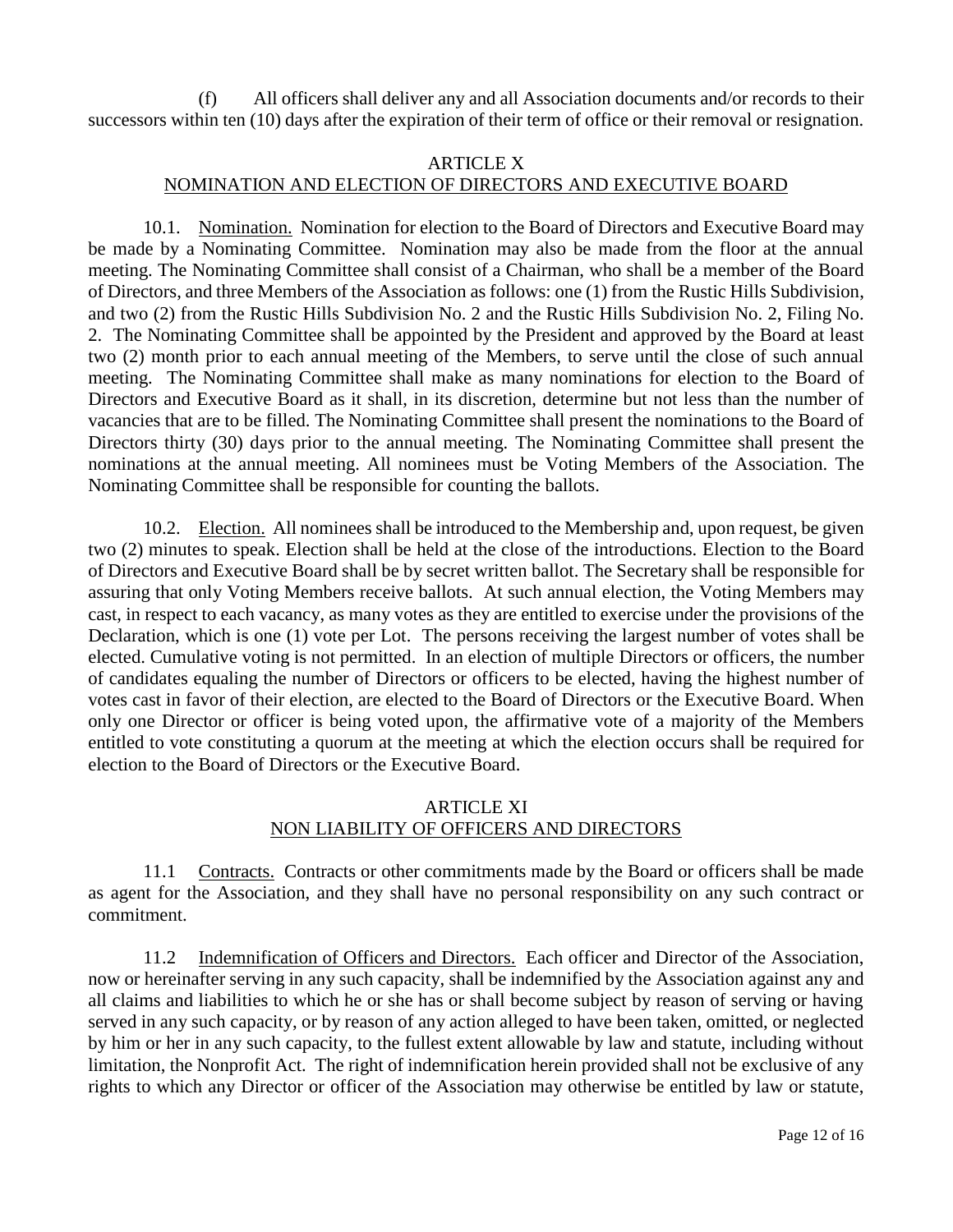(f) All officers shall deliver any and all Association documents and/or records to their successors within ten (10) days after the expiration of their term of office or their removal or resignation.

### ARTICLE X

## NOMINATION AND ELECTION OF DIRECTORS AND EXECUTIVE BOARD

10.1. Nomination. Nomination for election to the Board of Directors and Executive Board may be made by a Nominating Committee. Nomination may also be made from the floor at the annual meeting. The Nominating Committee shall consist of a Chairman, who shall be a member of the Board of Directors, and three Members of the Association as follows: one (1) from the Rustic Hills Subdivision, and two (2) from the Rustic Hills Subdivision No. 2 and the Rustic Hills Subdivision No. 2, Filing No. 2. The Nominating Committee shall be appointed by the President and approved by the Board at least two (2) month prior to each annual meeting of the Members, to serve until the close of such annual meeting. The Nominating Committee shall make as many nominations for election to the Board of Directors and Executive Board as it shall, in its discretion, determine but not less than the number of vacancies that are to be filled. The Nominating Committee shall present the nominations to the Board of Directors thirty (30) days prior to the annual meeting. The Nominating Committee shall present the nominations at the annual meeting. All nominees must be Voting Members of the Association. The Nominating Committee shall be responsible for counting the ballots.

10.2. Election. All nominees shall be introduced to the Membership and, upon request, be given two (2) minutes to speak. Election shall be held at the close of the introductions. Election to the Board of Directors and Executive Board shall be by secret written ballot. The Secretary shall be responsible for assuring that only Voting Members receive ballots. At such annual election, the Voting Members may cast, in respect to each vacancy, as many votes as they are entitled to exercise under the provisions of the Declaration, which is one (1) vote per Lot. The persons receiving the largest number of votes shall be elected. Cumulative voting is not permitted. In an election of multiple Directors or officers, the number of candidates equaling the number of Directors or officers to be elected, having the highest number of votes cast in favor of their election, are elected to the Board of Directors or the Executive Board. When only one Director or officer is being voted upon, the affirmative vote of a majority of the Members entitled to vote constituting a quorum at the meeting at which the election occurs shall be required for election to the Board of Directors or the Executive Board.

### ARTICLE XI NON LIABILITY OF OFFICERS AND DIRECTORS

11.1 Contracts. Contracts or other commitments made by the Board or officers shall be made as agent for the Association, and they shall have no personal responsibility on any such contract or commitment.

11.2 Indemnification of Officers and Directors. Each officer and Director of the Association, now or hereinafter serving in any such capacity, shall be indemnified by the Association against any and all claims and liabilities to which he or she has or shall become subject by reason of serving or having served in any such capacity, or by reason of any action alleged to have been taken, omitted, or neglected by him or her in any such capacity, to the fullest extent allowable by law and statute, including without limitation, the Nonprofit Act. The right of indemnification herein provided shall not be exclusive of any rights to which any Director or officer of the Association may otherwise be entitled by law or statute,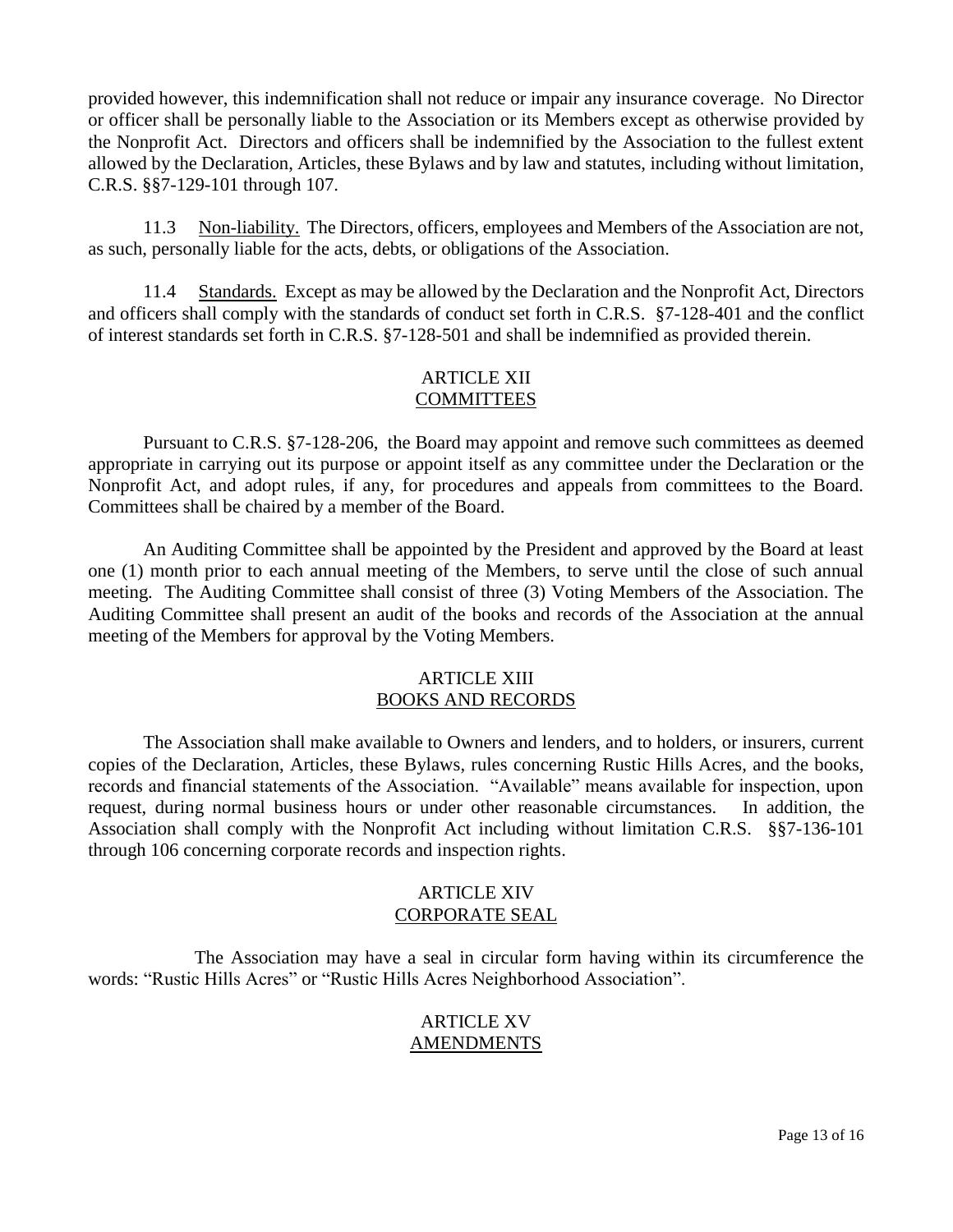provided however, this indemnification shall not reduce or impair any insurance coverage. No Director or officer shall be personally liable to the Association or its Members except as otherwise provided by the Nonprofit Act. Directors and officers shall be indemnified by the Association to the fullest extent allowed by the Declaration, Articles, these Bylaws and by law and statutes, including without limitation, C.R.S. §§7-129-101 through 107.

11.3 Non-liability. The Directors, officers, employees and Members of the Association are not, as such, personally liable for the acts, debts, or obligations of the Association.

11.4 Standards. Except as may be allowed by the Declaration and the Nonprofit Act, Directors and officers shall comply with the standards of conduct set forth in C.R.S. §7-128-401 and the conflict of interest standards set forth in C.R.S. §7-128-501 and shall be indemnified as provided therein.

## ARTICLE XII COMMITTEES

Pursuant to C.R.S. §7-128-206, the Board may appoint and remove such committees as deemed appropriate in carrying out its purpose or appoint itself as any committee under the Declaration or the Nonprofit Act, and adopt rules, if any, for procedures and appeals from committees to the Board. Committees shall be chaired by a member of the Board.

An Auditing Committee shall be appointed by the President and approved by the Board at least one (1) month prior to each annual meeting of the Members, to serve until the close of such annual meeting. The Auditing Committee shall consist of three (3) Voting Members of the Association. The Auditing Committee shall present an audit of the books and records of the Association at the annual meeting of the Members for approval by the Voting Members.

#### ARTICLE XIII BOOKS AND RECORDS

The Association shall make available to Owners and lenders, and to holders, or insurers, current copies of the Declaration, Articles, these Bylaws, rules concerning Rustic Hills Acres, and the books, records and financial statements of the Association. "Available" means available for inspection, upon request, during normal business hours or under other reasonable circumstances. In addition, the Association shall comply with the Nonprofit Act including without limitation C.R.S. §§7-136-101 through 106 concerning corporate records and inspection rights.

#### ARTICLE XIV CORPORATE SEAL

 The Association may have a seal in circular form having within its circumference the words: "Rustic Hills Acres" or "Rustic Hills Acres Neighborhood Association".

### ARTICLE XV AMENDMENTS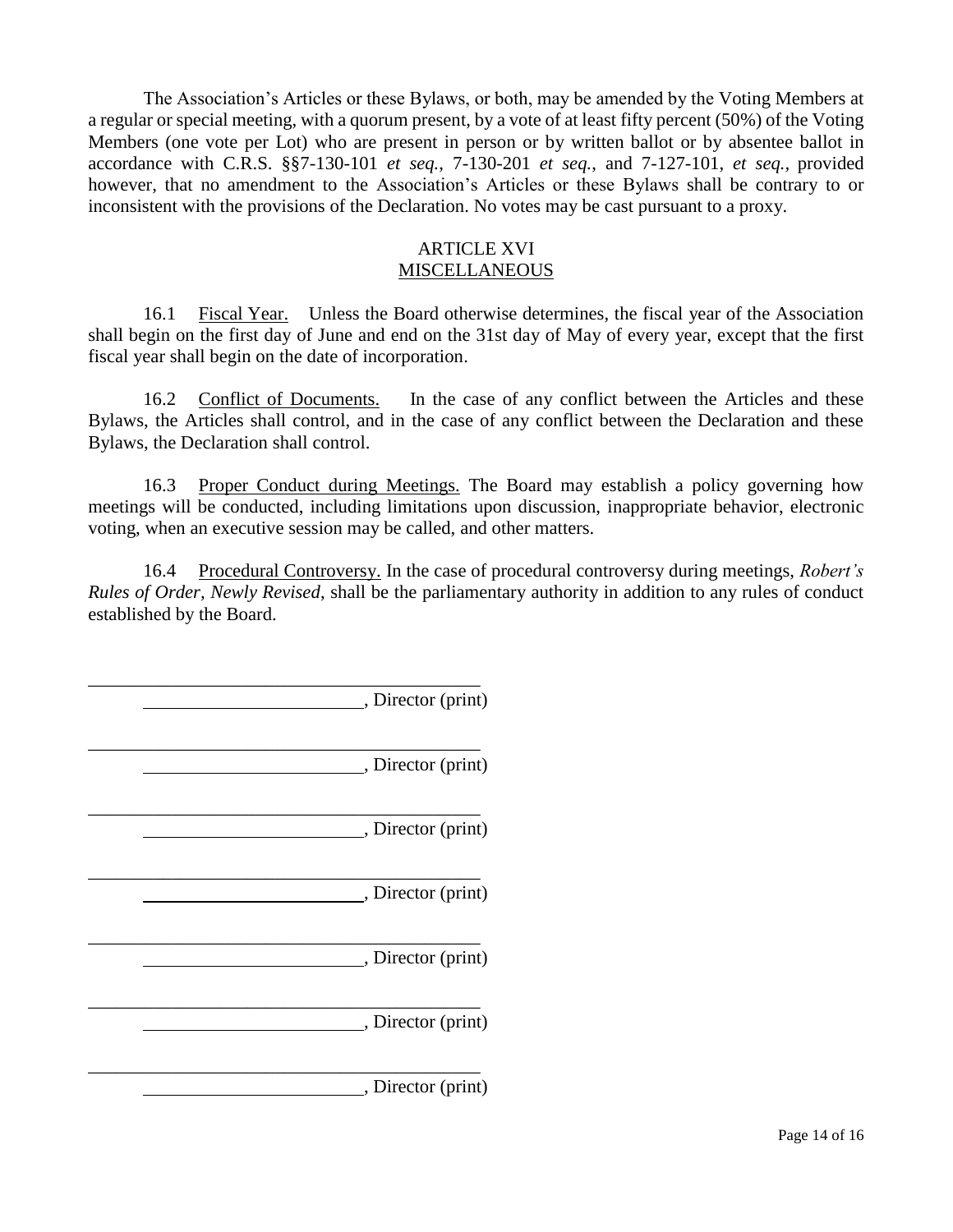The Association's Articles or these Bylaws, or both, may be amended by the Voting Members at a regular or special meeting, with a quorum present, by a vote of at least fifty percent (50%) of the Voting Members (one vote per Lot) who are present in person or by written ballot or by absentee ballot in accordance with C.R.S. §§7-130-101 *et seq.*, 7-130-201 *et seq.*, and 7-127-101, *et seq.,* provided however, that no amendment to the Association's Articles or these Bylaws shall be contrary to or inconsistent with the provisions of the Declaration. No votes may be cast pursuant to a proxy.

#### ARTICLE XVI **MISCELLANEOUS**

16.1 Fiscal Year. Unless the Board otherwise determines, the fiscal year of the Association shall begin on the first day of June and end on the 31st day of May of every year, except that the first fiscal year shall begin on the date of incorporation.

16.2 Conflict of Documents. In the case of any conflict between the Articles and these Bylaws, the Articles shall control, and in the case of any conflict between the Declaration and these Bylaws, the Declaration shall control.

16.3 Proper Conduct during Meetings. The Board may establish a policy governing how meetings will be conducted, including limitations upon discussion, inappropriate behavior, electronic voting, when an executive session may be called, and other matters.

16.4 Procedural Controversy. In the case of procedural controversy during meetings, *Robert's Rules of Order, Newly Revised*, shall be the parliamentary authority in addition to any rules of conduct established by the Board.

\_\_\_\_\_\_\_\_\_\_\_\_\_\_\_\_\_\_\_\_\_\_\_\_\_\_\_\_\_\_\_\_\_\_\_\_\_\_\_\_\_\_ , Director (print) \_\_\_\_\_\_\_\_\_\_\_\_\_\_\_\_\_\_\_\_\_\_\_\_\_\_\_\_\_\_\_\_\_\_\_\_\_\_\_\_\_\_ , Director (print) \_\_\_\_\_\_\_\_\_\_\_\_\_\_\_\_\_\_\_\_\_\_\_\_\_\_\_\_\_\_\_\_\_\_\_\_\_\_\_\_\_\_ , Director (print) \_\_\_\_\_\_\_\_\_\_\_\_\_\_\_\_\_\_\_\_\_\_\_\_\_\_\_\_\_\_\_\_\_\_\_\_\_\_\_\_\_\_ , Director (print) \_\_\_\_\_\_\_\_\_\_\_\_\_\_\_\_\_\_\_\_\_\_\_\_\_\_\_\_\_\_\_\_\_\_\_\_\_\_\_\_\_\_ , Director (print) \_\_\_\_\_\_\_\_\_\_\_\_\_\_\_\_\_\_\_\_\_\_\_\_\_\_\_\_\_\_\_\_\_\_\_\_\_\_\_\_\_\_ , Director (print) \_\_\_\_\_\_\_\_\_\_\_\_\_\_\_\_\_\_\_\_\_\_\_\_\_\_\_\_\_\_\_\_\_\_\_\_\_\_\_\_\_\_ , Director (print)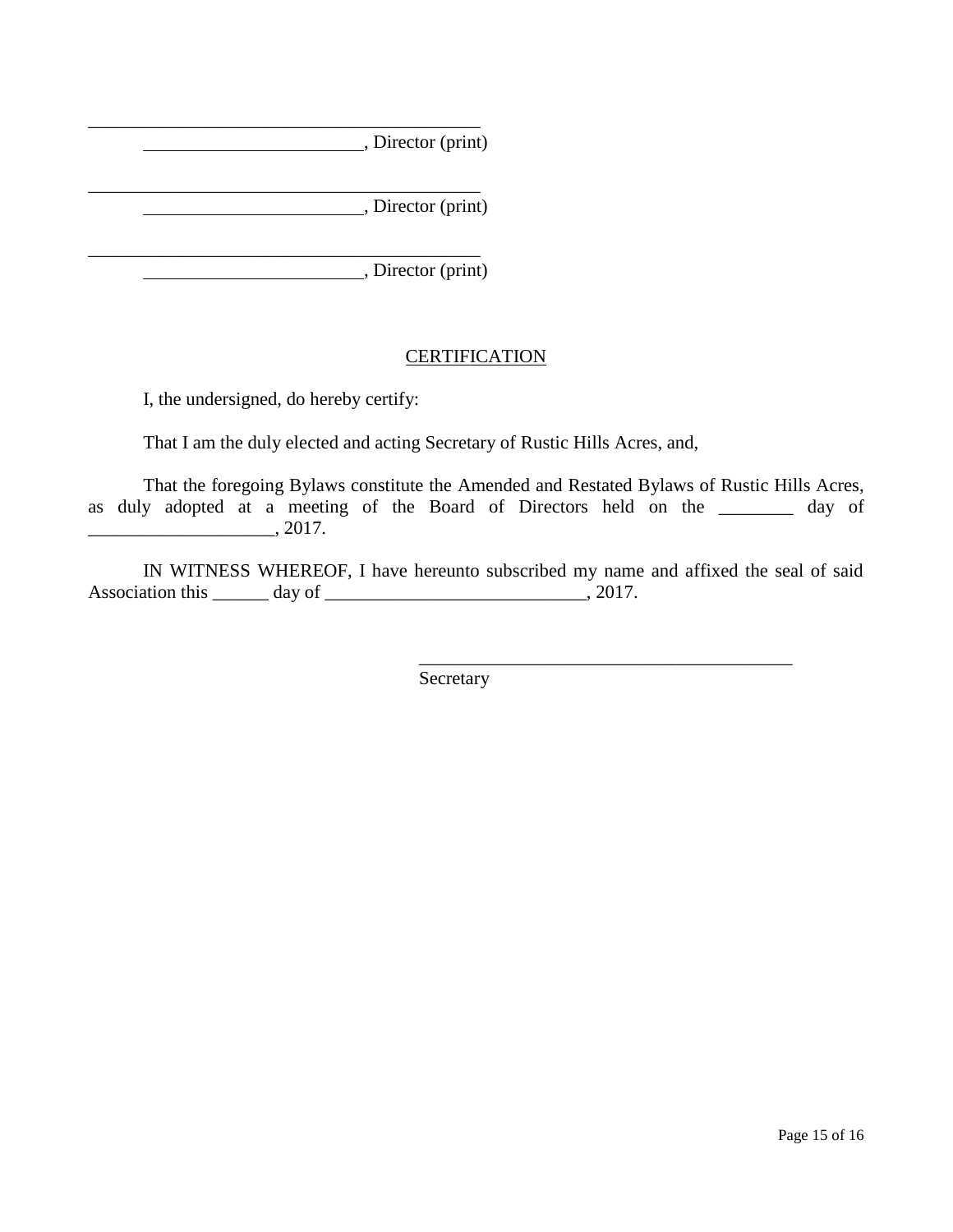|  | , Director (print)        |
|--|---------------------------|
|  | $\Box$ , Director (print) |
|  | , Director (print)        |

# **CERTIFICATION**

I, the undersigned, do hereby certify:

That I am the duly elected and acting Secretary of Rustic Hills Acres, and,

That the foregoing Bylaws constitute the Amended and Restated Bylaws of Rustic Hills Acres, as duly adopted at a meeting of the Board of Directors held on the \_\_\_\_\_\_\_\_ day of  $\frac{1}{2017}$ .

IN WITNESS WHEREOF, I have hereunto subscribed my name and affixed the seal of said Association this  $\frac{1}{2}$  day of  $\frac{1}{2}$  day  $\frac{1}{2}$ , 2017.

\_\_\_\_\_\_\_\_\_\_\_\_\_\_\_\_\_\_\_\_\_\_\_\_\_\_\_\_\_\_\_\_\_\_\_\_\_\_\_\_

Secretary